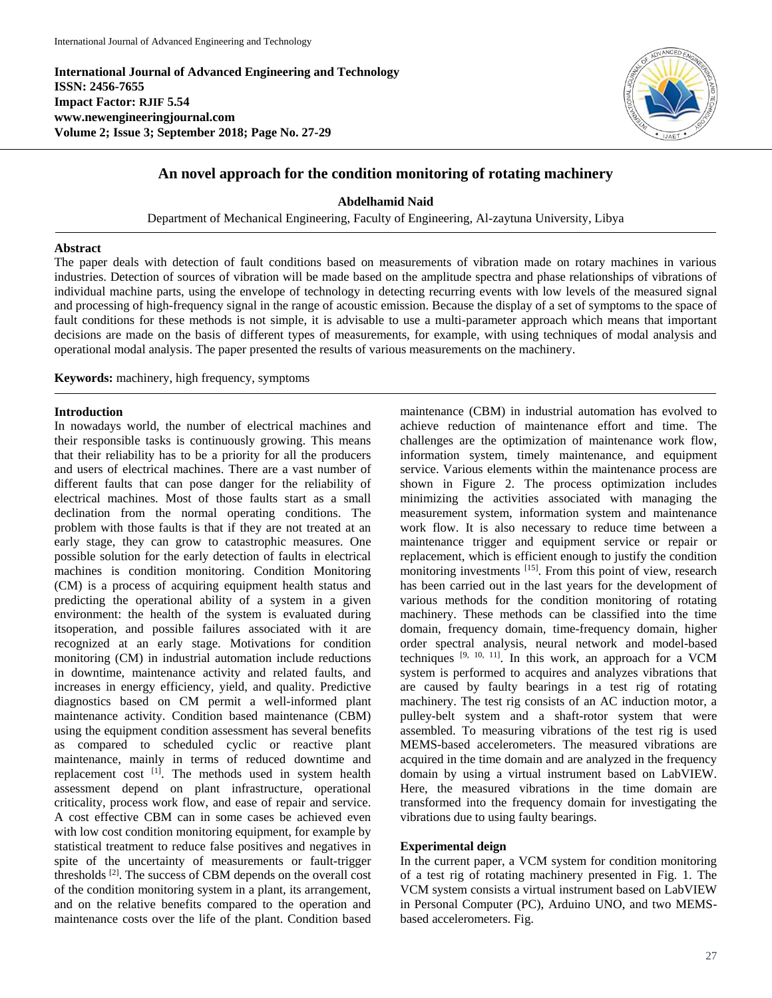**International Journal of Advanced Engineering and Technology ISSN: 2456-7655 Impact Factor: RJIF 5.54 www.newengineeringjournal.com Volume 2; Issue 3; September 2018; Page No. 27-29**



# **An novel approach for the condition monitoring of rotating machinery**

**Abdelhamid Naid**

Department of Mechanical Engineering, Faculty of Engineering, Al-zaytuna University, Libya

## **Abstract**

The paper deals with detection of fault conditions based on measurements of vibration made on rotary machines in various industries. Detection of sources of vibration will be made based on the amplitude spectra and phase relationships of vibrations of individual machine parts, using the envelope of technology in detecting recurring events with low levels of the measured signal and processing of high-frequency signal in the range of acoustic emission. Because the display of a set of symptoms to the space of fault conditions for these methods is not simple, it is advisable to use a multi-parameter approach which means that important decisions are made on the basis of different types of measurements, for example, with using techniques of modal analysis and operational modal analysis. The paper presented the results of various measurements on the machinery.

**Keywords:** machinery, high frequency, symptoms

### **Introduction**

In nowadays world, the number of electrical machines and their responsible tasks is continuously growing. This means that their reliability has to be a priority for all the producers and users of electrical machines. There are a vast number of different faults that can pose danger for the reliability of electrical machines. Most of those faults start as a small declination from the normal operating conditions. The problem with those faults is that if they are not treated at an early stage, they can grow to catastrophic measures. One possible solution for the early detection of faults in electrical machines is condition monitoring. Condition Monitoring (CM) is a process of acquiring equipment health status and predicting the operational ability of a system in a given environment: the health of the system is evaluated during itsoperation, and possible failures associated with it are recognized at an early stage. Motivations for condition monitoring (CM) in industrial automation include reductions in downtime, maintenance activity and related faults, and increases in energy efficiency, yield, and quality. Predictive diagnostics based on CM permit a well-informed plant maintenance activity. Condition based maintenance (CBM) using the equipment condition assessment has several benefits as compared to scheduled cyclic or reactive plant maintenance, mainly in terms of reduced downtime and replacement cost  $[1]$ . The methods used in system health assessment depend on plant infrastructure, operational criticality, process work flow, and ease of repair and service. A cost effective CBM can in some cases be achieved even with low cost condition monitoring equipment, for example by statistical treatment to reduce false positives and negatives in spite of the uncertainty of measurements or fault-trigger thresholds [2]. The success of CBM depends on the overall cost of the condition monitoring system in a plant, its arrangement, and on the relative benefits compared to the operation and maintenance costs over the life of the plant. Condition based

maintenance (CBM) in industrial automation has evolved to achieve reduction of maintenance effort and time. The challenges are the optimization of maintenance work flow, information system, timely maintenance, and equipment service. Various elements within the maintenance process are shown in Figure 2. The process optimization includes minimizing the activities associated with managing the measurement system, information system and maintenance work flow. It is also necessary to reduce time between a maintenance trigger and equipment service or repair or replacement, which is efficient enough to justify the condition monitoring investments [15]. From this point of view, research has been carried out in the last years for the development of various methods for the condition monitoring of rotating machinery. These methods can be classified into the time domain, frequency domain, time-frequency domain, higher order spectral analysis, neural network and model-based techniques [9, 10, 11]. In this work, an approach for a VCM system is performed to acquires and analyzes vibrations that are caused by faulty bearings in a test rig of rotating machinery. The test rig consists of an AC induction motor, a pulley-belt system and a shaft-rotor system that were assembled. To measuring vibrations of the test rig is used MEMS-based accelerometers. The measured vibrations are acquired in the time domain and are analyzed in the frequency domain by using a virtual instrument based on LabVIEW. Here, the measured vibrations in the time domain are transformed into the frequency domain for investigating the vibrations due to using faulty bearings.

### **Experimental deign**

In the current paper, a VCM system for condition monitoring of a test rig of rotating machinery presented in Fig. 1. The VCM system consists a virtual instrument based on LabVIEW in Personal Computer (PC), Arduino UNO, and two MEMSbased accelerometers. Fig.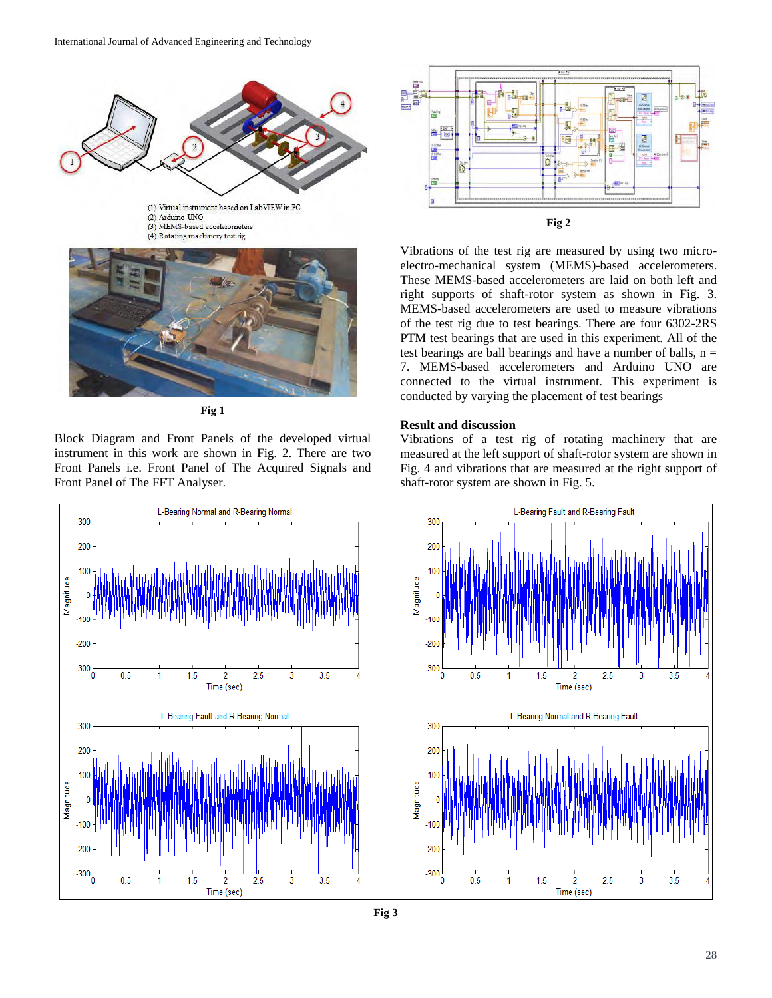

**Fig 1**

Block Diagram and Front Panels of the developed virtual instrument in this work are shown in Fig. 2. There are two Front Panels i.e. Front Panel of The Acquired Signals and Front Panel of The FFT Analyser.



Vibrations of the test rig are measured by using two microelectro-mechanical system (MEMS)-based accelerometers. These MEMS-based accelerometers are laid on both left and right supports of shaft-rotor system as shown in Fig. 3. MEMS-based accelerometers are used to measure vibrations of the test rig due to test bearings. There are four 6302-2RS PTM test bearings that are used in this experiment. All of the test bearings are ball bearings and have a number of balls,  $n =$ 7. MEMS-based accelerometers and Arduino UNO are connected to the virtual instrument. This experiment is conducted by varying the placement of test bearings

### **Result and discussion**

Vibrations of a test rig of rotating machinery that are measured at the left support of shaft-rotor system are shown in Fig. 4 and vibrations that are measured at the right support of shaft-rotor system are shown in Fig. 5.